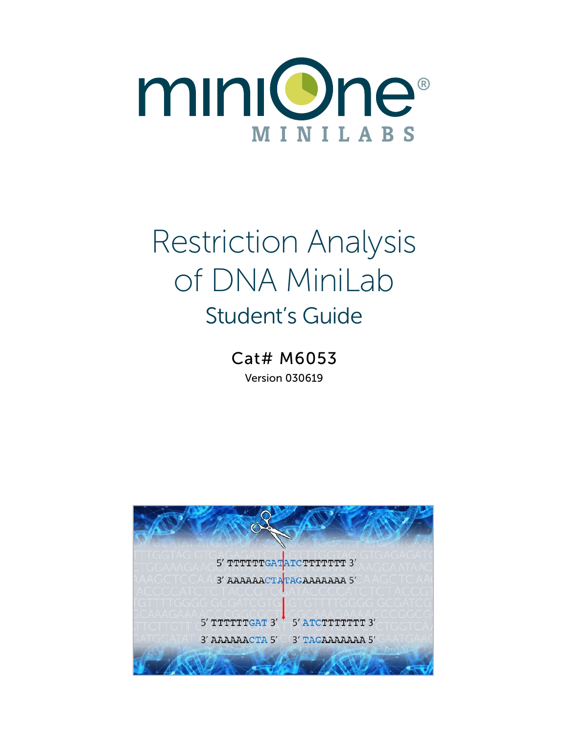

# Restriction Analysis of DNA MiniLab Student's Guide

Cat# M6053 Version 030619

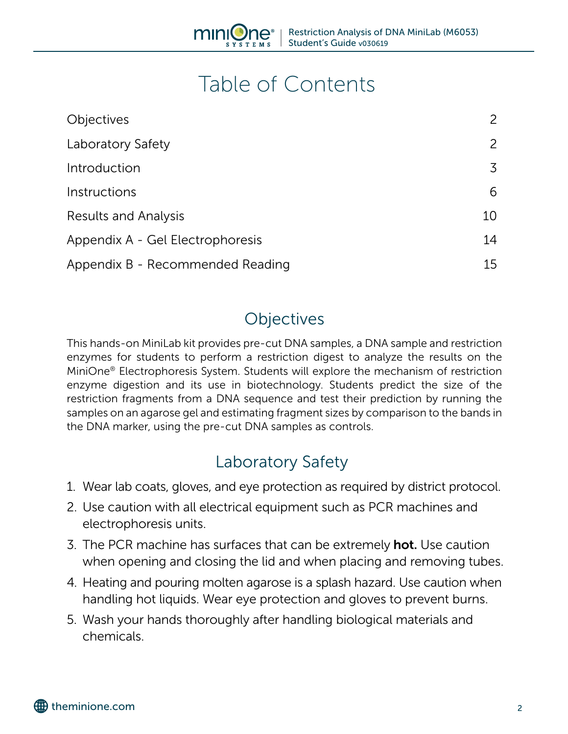# Table of Contents

**SVSTEMS** 

| Objectives                        | $\mathsf{2}^{\mathsf{1}}$ |
|-----------------------------------|---------------------------|
| Laboratory Safety                 | $\mathsf{2}^{\mathsf{2}}$ |
| Introduction                      | 3                         |
| <i><u><b>Instructions</b></u></i> | 6                         |
| <b>Results and Analysis</b>       | 10                        |
| Appendix A - Gel Electrophoresis  | 14                        |
| Appendix B - Recommended Reading  | 15                        |

### **Objectives**

This hands-on MiniLab kit provides pre-cut DNA samples, a DNA sample and restriction enzymes for students to perform a restriction digest to analyze the results on the MiniOne® Electrophoresis System. Students will explore the mechanism of restriction enzyme digestion and its use in biotechnology. Students predict the size of the restriction fragments from a DNA sequence and test their prediction by running the samples on an agarose gel and estimating fragment sizes by comparison to the bands in the DNA marker, using the pre-cut DNA samples as controls.

# Laboratory Safety

- 1. Wear lab coats, gloves, and eye protection as required by district protocol.
- 2. Use caution with all electrical equipment such as PCR machines and electrophoresis units.
- 3. The PCR machine has surfaces that can be extremely **hot.** Use caution when opening and closing the lid and when placing and removing tubes.
- 4. Heating and pouring molten agarose is a splash hazard. Use caution when handling hot liquids. Wear eye protection and gloves to prevent burns.
- theminione.com (858-3190 information) information (858-3190 information (858-3190 information) information (85<br>The minimizing communication (858-3190 information (858-3191) information (858-3191) information (858-3191) in MiniOne is a registered trademark of C.C. Imex. GelGreenTM is a trademark of Biotium. Patents Pending. 5. Wash your hands thoroughly after handling biological materials and chemicals.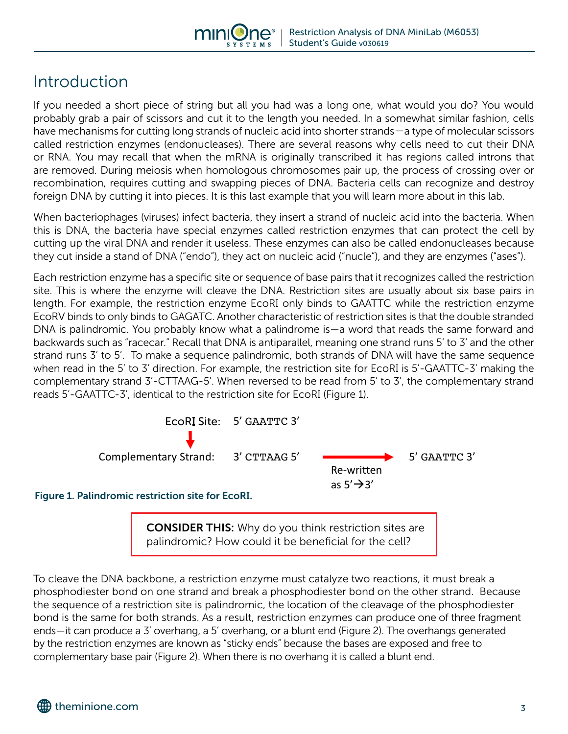

### Introduction

If you needed a short piece of string but all you had was a long one, what would you do? You would probably grab a pair of scissors and cut it to the length you needed. In a somewhat similar fashion, cells have mechanisms for cutting long strands of nucleic acid into shorter strands—a type of molecular scissors called restriction enzymes (endonucleases). There are several reasons why cells need to cut their DNA or RNA. You may recall that when the mRNA is originally transcribed it has regions called introns that are removed. During meiosis when homologous chromosomes pair up, the process of crossing over or recombination, requires cutting and swapping pieces of DNA. Bacteria cells can recognize and destroy foreign DNA by cutting it into pieces. It is this last example that you will learn more about in this lab.

When bacteriophages (viruses) infect bacteria, they insert a strand of nucleic acid into the bacteria. When this is DNA, the bacteria have special enzymes called restriction enzymes that can protect the cell by cutting up the viral DNA and render it useless. These enzymes can also be called endonucleases because they cut inside a stand of DNA ("endo"), they act on nucleic acid ("nucle"), and they are enzymes ("ases").

Each restriction enzyme has a specific site or sequence of base pairs that it recognizes called the restriction site. This is where the enzyme will cleave the DNA. Restriction sites are usually about six base pairs in length. For example, the restriction enzyme EcoRI only binds to GAATTC while the restriction enzyme EcoRV binds to only binds to GAGATC. Another characteristic of restriction sites is that the double stranded DNA is palindromic. You probably know what a palindrome is—a word that reads the same forward and backwards such as "racecar." Recall that DNA is antiparallel, meaning one strand runs 5' to 3' and the other strand runs 3' to 5'. To make a sequence palindromic, both strands of DNA will have the same sequence when read in the 5' to 3' direction. For example, the restriction site for EcoRI is 5'-GAATTC-3' making the complementary strand 3'-CTTAAG-5'. When reversed to be read from 5' to 3', the complementary strand reads 5'-GAATTC-3', identical to the restriction site for EcoRI (Figure 1).



CONSIDER THIS: Why do you think restriction sites are palindromic? How could it be beneficial for the cell?

ends—it can produce a 3' overhang, a 5' overhang, or a blunt end (Figure 2). The overhangs generated by the restriction enzymes are known as "sticky ends" because the bases are exposed and free to To cleave the DNA backbone, a restriction enzyme must catalyze two reactions, it must break a phosphodiester bond on one strand and break a phosphodiester bond on the other strand. Because the sequence of a restriction site is palindromic, the location of the cleavage of the phosphodiester bond is the same for both strands. As a result, restriction enzymes can produce one of three fragment complementary base pair (Figure 2). When there is no overhang it is called a blunt end.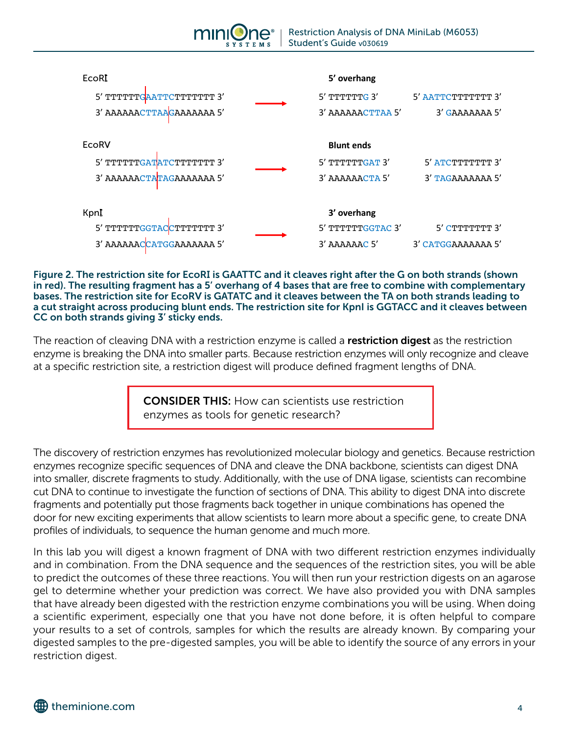

Figure 2. The restriction site for EcoRI is GAATTC and it cleaves right after the G on both strands (shown in red). The resulting fragment has a 5' overhang of 4 bases that are free to combine with complementary bases. The restriction site for EcoRV is GATATC and it cleaves between the TA on both strands leading to a cut straight across producing blunt ends. The restriction site for KpnI is GGTACC and it cleaves between CC on both strands giving 3' sticky ends.

The reaction of cleaving DNA with a restriction enzyme is called a restriction digest as the restriction enzyme is breaking the DNA into smaller parts. Because restriction enzymes will only recognize and cleave at a specific restriction site, a restriction digest will produce defined fragment lengths of DNA.

> CONSIDER THIS: How can scientists use restriction enzymes as tools for genetic research?

The discovery of restriction enzymes has revolutionized molecular biology and genetics. Because restriction enzymes recognize specific sequences of DNA and cleave the DNA backbone, scientists can digest DNA into smaller, discrete fragments to study. Additionally, with the use of DNA ligase, scientists can recombine cut DNA to continue to investigate the function of sections of DNA. This ability to digest DNA into discrete fragments and potentially put those fragments back together in unique combinations has opened the door for new exciting experiments that allow scientists to learn more about a specific gene, to create DNA profiles of individuals, to sequence the human genome and much more.

your results to a set of controls, samples for which the results are already known. By comparing your digested samples to the pre-digested samples, you will be able to identify the source of any errors in your In this lab you will digest a known fragment of DNA with two different restriction enzymes individually and in combination. From the DNA sequence and the sequences of the restriction sites, you will be able to predict the outcomes of these three reactions. You will then run your restriction digests on an agarose gel to determine whether your prediction was correct. We have also provided you with DNA samples that have already been digested with the restriction enzyme combinations you will be using. When doing a scientific experiment, especially one that you have not done before, it is often helpful to compare restriction digest.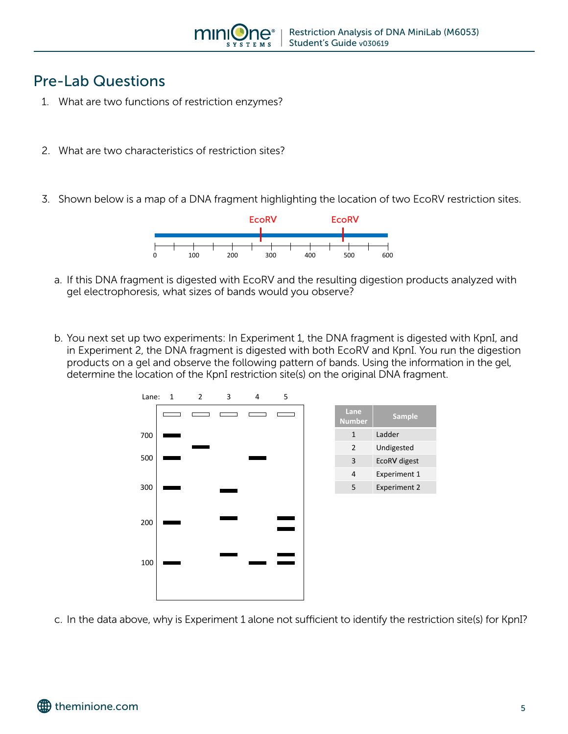

### Pre-Lab Questions

- 1. What are two functions of restriction enzymes?
- 2. What are two characteristics of restriction sites?
- 3. Shown below is a map of a DNA fragment highlighting the location of two EcoRV restriction sites.



- a. If this DNA fragment is digested with EcoRV and the resulting digestion products analyzed with gel electrophoresis, what sizes of bands would you observe?
- b. You next set up two experiments: In Experiment 1, the DNA fragment is digested with KpnI, and **Lane**  in Experiment 2, the DNA fragment is digested with both EcoRV and KpnI. You run the digestion products on a gel and observe the following pattern of bands. Using the information in the gel, producte on a get and observe the rettoring pattern or bands, being the imprinted<br>determine the location of the KpnI restriction site(s) on the original DNA fragment. nd<br>ion



theminione.com (858) 684-3190 info@theminione.com c. In the data above, why is Experiment 1 alone not sufficient to identify the restriction site(s) for KpnI?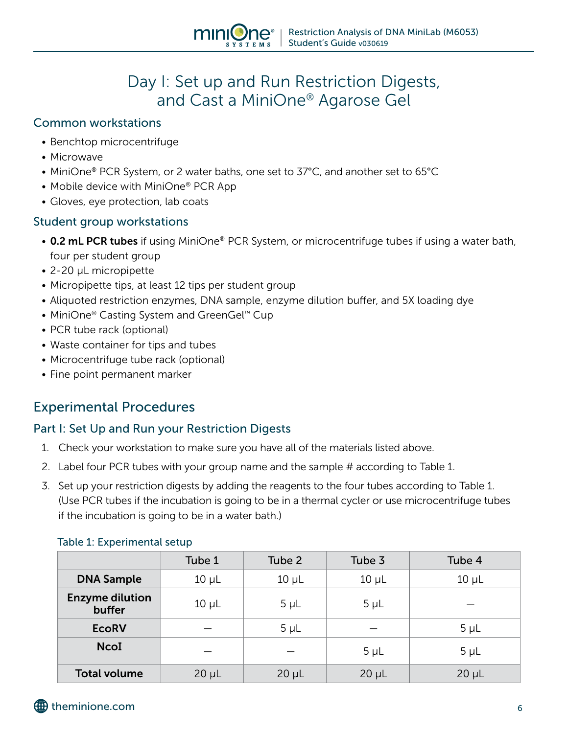### Day I: Set up and Run Restriction Digests, and Cast a MiniOne® Agarose Gel

#### Common workstations

- Benchtop microcentrifuge
- Microwave
- MiniOne® PCR System, or 2 water baths, one set to 37°C, and another set to 65°C
- Mobile device with MiniOne® PCR App
- Gloves, eye protection, lab coats

#### Student group workstations

- 0.2 mL PCR tubes if using MiniOne® PCR System, or microcentrifuge tubes if using a water bath, four per student group
- 2-20 μL micropipette
- Micropipette tips, at least 12 tips per student group
- Aliquoted restriction enzymes, DNA sample, enzyme dilution buffer, and 5X loading dye
- MiniOne® Casting System and GreenGel™ Cup
- PCR tube rack (optional)
- Waste container for tips and tubes
- Microcentrifuge tube rack (optional)
- Fine point permanent marker

#### Experimental Procedures

#### Part I: Set Up and Run your Restriction Digests

- 1. Check your workstation to make sure you have all of the materials listed above.
- 2. Label four PCR tubes with your group name and the sample # according to Table 1.
- 3. Set up your restriction digests by adding the reagents to the four tubes according to Table 1. (Use PCR tubes if the incubation is going to be in a thermal cycler or use microcentrifuge tubes if the incubation is going to be in a water bath.)

|                                  | Tube 1     | Tube 2     | Tube 3     | Tube 4     |
|----------------------------------|------------|------------|------------|------------|
| <b>DNA Sample</b>                | $10 \mu L$ | $10 \mu L$ | $10 \mu L$ | $10 \mu L$ |
| <b>Enzyme dilution</b><br>buffer | $10 \mu L$ | $5 \mu L$  | $5 \mu L$  |            |
| <b>EcoRV</b>                     |            | $5 \mu L$  |            | $5 \mu L$  |
| <b>NcoI</b>                      |            |            | $5 \mu L$  | $5 \mu L$  |
| <b>Total volume</b>              | $20 \mu L$ | $20 \mu L$ | $20 \mu L$ | $20 \mu L$ |

#### Table 1: Experimental setup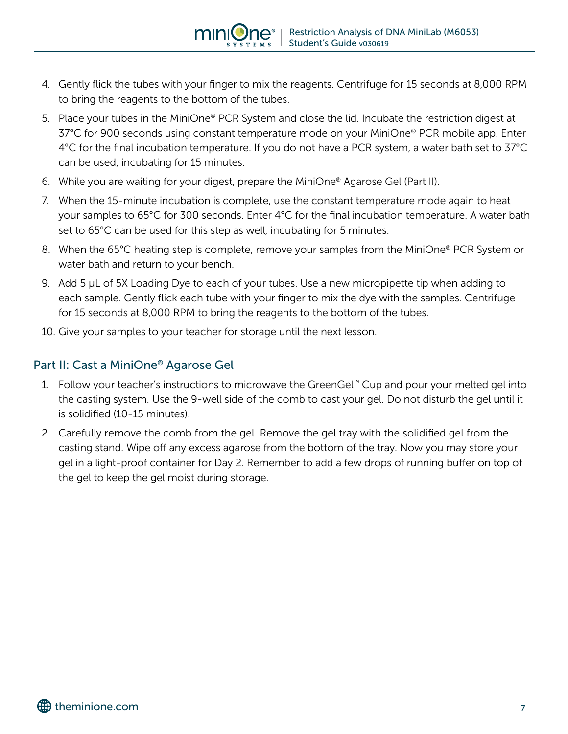- 4. Gently flick the tubes with your finger to mix the reagents. Centrifuge for 15 seconds at 8,000 RPM to bring the reagents to the bottom of the tubes.
- 5. Place your tubes in the MiniOne® PCR System and close the lid. Incubate the restriction digest at 37°C for 900 seconds using constant temperature mode on your MiniOne<sup>®</sup> PCR mobile app. Enter 4°C for the final incubation temperature. If you do not have a PCR system, a water bath set to 37°C can be used, incubating for 15 minutes.
- 6. While you are waiting for your digest, prepare the MiniOne® Agarose Gel (Part II).
- 7. When the 15-minute incubation is complete, use the constant temperature mode again to heat your samples to 65°C for 300 seconds. Enter 4°C for the final incubation temperature. A water bath set to 65°C can be used for this step as well, incubating for 5 minutes.
- 8. When the 65°C heating step is complete, remove your samples from the MiniOne® PCR System or water bath and return to your bench.
- 9. Add 5 μL of 5X Loading Dye to each of your tubes. Use a new micropipette tip when adding to each sample. Gently flick each tube with your finger to mix the dye with the samples. Centrifuge for 15 seconds at 8,000 RPM to bring the reagents to the bottom of the tubes.
- 10. Give your samples to your teacher for storage until the next lesson.

#### Part II: Cast a MiniOne® Agarose Gel

- 1. Follow your teacher's instructions to microwave the GreenGel™ Cup and pour your melted gel into the casting system. Use the 9-well side of the comb to cast your gel. Do not disturb the gel until it is solidified (10-15 minutes).
- 2. Carefully remove the comb from the gel. Remove the gel tray with the solidified gel from the casting stand. Wipe off any excess agarose from the bottom of the tray. Now you may store your gel in a light-proof container for Day 2. Remember to add a few drops of running buffer on top of the gel to keep the gel moist during storage.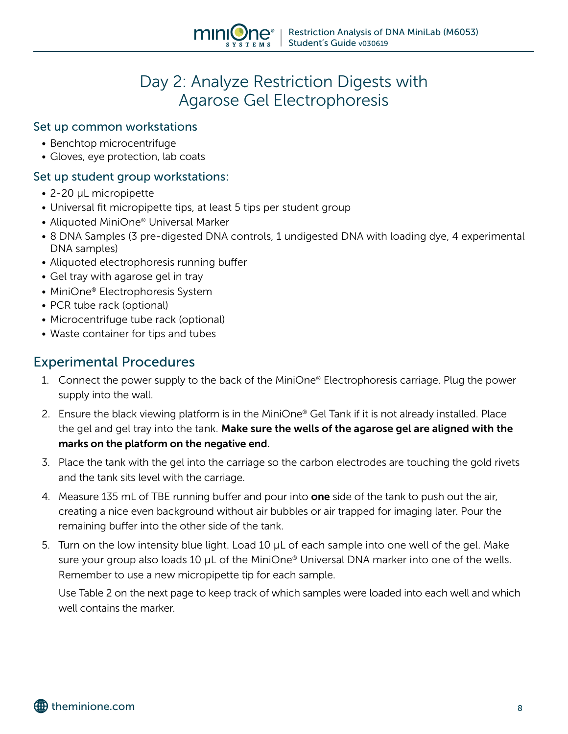### Day 2: Analyze Restriction Digests with Agarose Gel Electrophoresis

#### Set up common workstations

- Benchtop microcentrifuge
- Gloves, eye protection, lab coats

#### Set up student group workstations:

- 2-20 μL micropipette
- Universal fit micropipette tips, at least 5 tips per student group
- Aliquoted MiniOne® Universal Marker
- 8 DNA Samples (3 pre-digested DNA controls, 1 undigested DNA with loading dye, 4 experimental DNA samples)
- Aliquoted electrophoresis running buffer
- Gel tray with agarose gel in tray
- MiniOne® Electrophoresis System
- PCR tube rack (optional)
- Microcentrifuge tube rack (optional)
- Waste container for tips and tubes

#### Experimental Procedures

- 1. Connect the power supply to the back of the MiniOne® Electrophoresis carriage. Plug the power supply into the wall.
- 2. Ensure the black viewing platform is in the MiniOne® Gel Tank if it is not already installed. Place the gel and gel tray into the tank. Make sure the wells of the agarose gel are aligned with the marks on the platform on the negative end.
- 3. Place the tank with the gel into the carriage so the carbon electrodes are touching the gold rivets and the tank sits level with the carriage.
- 4. Measure 135 mL of TBE running buffer and pour into **one** side of the tank to push out the air, creating a nice even background without air bubbles or air trapped for imaging later. Pour the remaining buffer into the other side of the tank.
- 5. Turn on the low intensity blue light. Load 10 μL of each sample into one well of the gel. Make sure your group also loads 10 μL of the MiniOne® Universal DNA marker into one of the wells. Remember to use a new micropipette tip for each sample.

Use Table 2 on the next page to keep track of which samples were loaded into each well and which well contains the marker.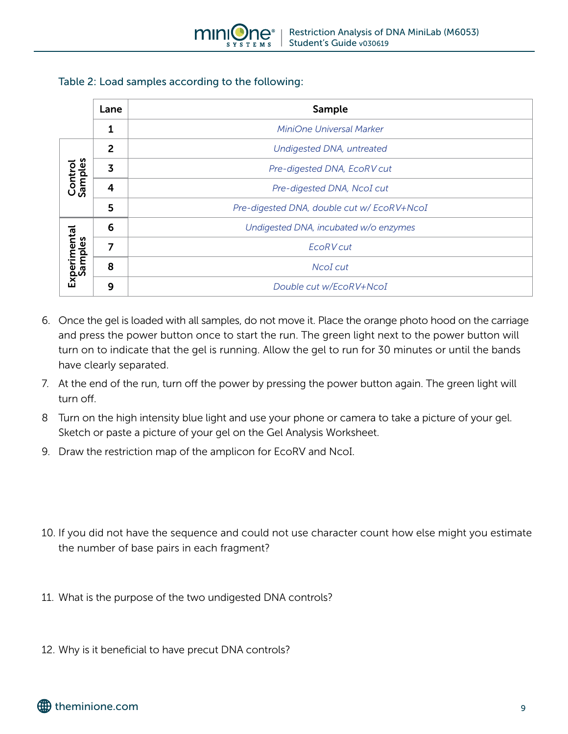

#### Table 2: Load samples according to the following:

|                         | Lane | Sample                                     |  |  |
|-------------------------|------|--------------------------------------------|--|--|
|                         | 1    | MiniOne Universal Marker                   |  |  |
|                         | 2    | Undigested DNA, untreated                  |  |  |
| Control<br>Samples      | 3    | Pre-digested DNA, EcoRV cut                |  |  |
|                         | 4    | Pre-digested DNA, NcoI cut                 |  |  |
|                         | 5    | Pre-digested DNA, double cut w/ EcoRV+NcoI |  |  |
|                         | 6    | Undigested DNA, incubated w/o enzymes      |  |  |
| Experimental<br>Samples | 7    | <b>EcoRV</b> cut                           |  |  |
|                         | 8    | <b>NcoI</b> cut                            |  |  |
|                         | 9    | Double cut w/EcoRV+NcoI                    |  |  |

- 6. Once the gel is loaded with all samples, do not move it. Place the orange photo hood on the carriage and press the power button once to start the run. The green light next to the power button will turn on to indicate that the gel is running. Allow the gel to run for 30 minutes or until the bands have clearly separated.
- 7. At the end of the run, turn off the power by pressing the power button again. The green light will turn off.
- 8 Turn on the high intensity blue light and use your phone or camera to take a picture of your gel. Sketch or paste a picture of your gel on the Gel Analysis Worksheet.
- 9. Draw the restriction map of the amplicon for EcoRV and NcoI.
- 10. If you did not have the sequence and could not use character count how else might you estimate the number of base pairs in each fragment?
- 11. What is the purpose of the two undigested DNA controls?
- 12. Why is it beneficial to have precut DNA controls?

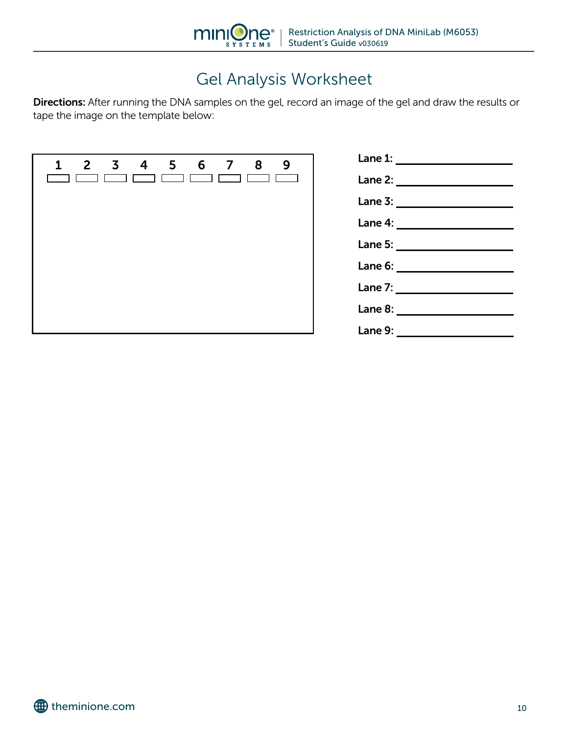

# Gel Analysis Worksheet

Directions: After running the DNA samples on the gel, record an image of the gel and draw the results or tape the image on the template below:

| 1 2 3 4 5 6 7 8 9 | $\sim 10^{11}$ m $^{-1}$ |
|-------------------|--------------------------|
|                   |                          |
|                   |                          |
|                   |                          |
|                   |                          |

| Lane 1: $\qquad \qquad$ |
|-------------------------|
|                         |
|                         |
|                         |
|                         |
|                         |
|                         |
|                         |
|                         |

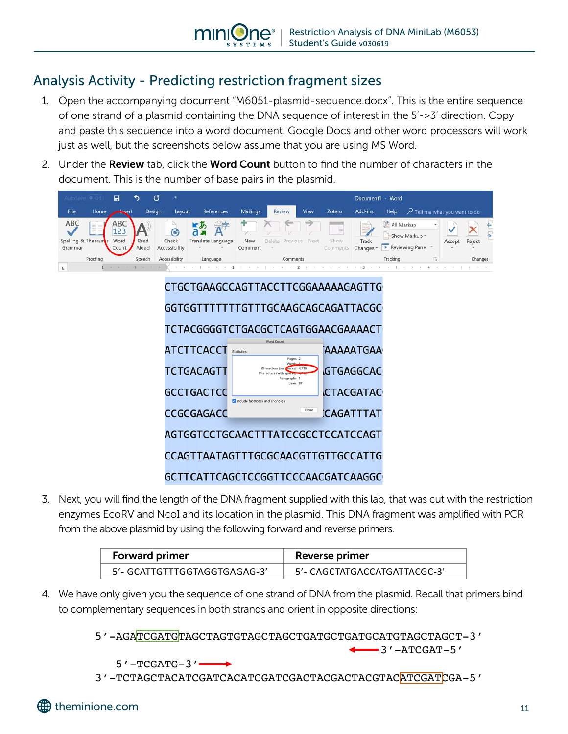#### Analysis Activity - Predicting restriction fragment sizes

- 1. Open the accompanying document "M6051-plasmid-sequence.docx". This is the entire sequence of one strand of a plasmid containing the DNA sequence of interest in the 5'->3' direction. Copy and paste this sequence into a word document. Google Docs and other word processors will work just as well, but the screenshots below assume that you are using MS Word.
- 2. Under the **Review** tab, click the **Word Count** button to find the number of characters in the document. This is the number of base pairs in the plasmid.

**SVSTEMS** 



3. Next, you will find the length of the DNA fragment supplied with this lab, that was cut with the restriction enzymes EcoRV and NcoI and its location in the plasmid. This DNA fragment was amplified with PCR from the above plasmid by using the following forward and reverse primers.

| <b>Forward primer</b>        | <b>Reverse primer</b>        |
|------------------------------|------------------------------|
| 5'- GCATTGTTTGGTAGGTGAGAG-3' | 5'- CAGCTATGACCATGATTACGC-3' |

4. We have only given you the sequence of one strand of DNA from the plasmid. Recall that primers bind to complementary sequences in both strands and orient in opposite directions:

theminione.com (858) 684-3190 info@theminione.com 5'-AGATCGATGTAGCTAGTGTAGCTAGCTGATGCTGATGCATGTAGCTAGCT-3'  $M_{\rm H}$  a registered trademark of  $C_{\rm H}$  is a trademark of  $B_{\rm H}$  is a trademark of  $B_{\rm H}$ 3'-ATCGAT-5'

 $5'$ -TCGATG-3'-

3'-TCTAGCTACATCGATCACATCGATCGACTACGACTACGTACATCGATCGA-5'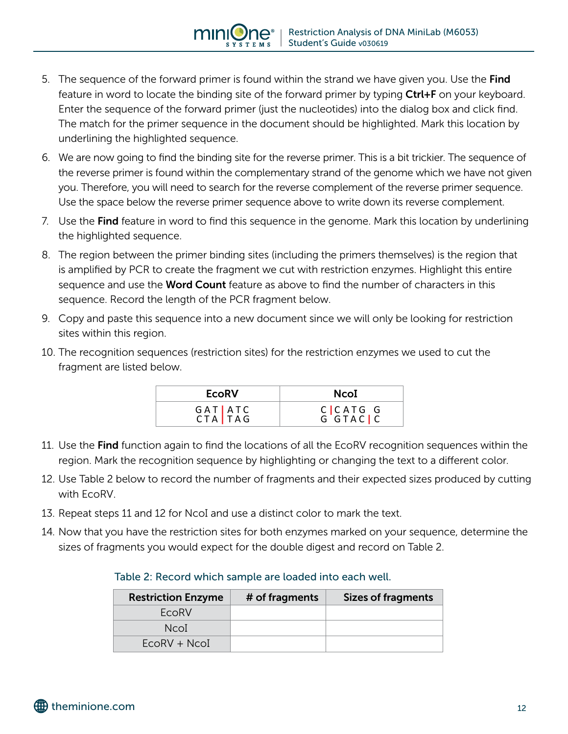- 5. The sequence of the forward primer is found within the strand we have given you. Use the **Find** feature in word to locate the binding site of the forward primer by typing **Ctrl+F** on your keyboard. Enter the sequence of the forward primer (just the nucleotides) into the dialog box and click find. The match for the primer sequence in the document should be highlighted. Mark this location by underlining the highlighted sequence.
- 6. We are now going to find the binding site for the reverse primer. This is a bit trickier. The sequence of the reverse primer is found within the complementary strand of the genome which we have not given you. Therefore, you will need to search for the reverse complement of the reverse primer sequence. Use the space below the reverse primer sequence above to write down its reverse complement.
- 7. Use the **Find** feature in word to find this sequence in the genome. Mark this location by underlining the highlighted sequence.
- 8. The region between the primer binding sites (including the primers themselves) is the region that is amplified by PCR to create the fragment we cut with restriction enzymes. Highlight this entire sequence and use the Word Count feature as above to find the number of characters in this sequence. Record the length of the PCR fragment below.
- 9. Copy and paste this sequence into a new document since we will only be looking for restriction sites within this region.
- 10. The recognition sequences (restriction sites) for the restriction enzymes we used to cut the fragment are listed below.

| <b>EcoRV</b>       | <b>NcoI</b>          |
|--------------------|----------------------|
| GAT ATC<br>CTA TAG | C CATG G<br>G GTAC C |

- 11. Use the Find function again to find the locations of all the EcoRV recognition sequences within the region. Mark the recognition sequence by highlighting or changing the text to a different color.
- 12. Use Table 2 below to record the number of fragments and their expected sizes produced by cutting with EcoRV.
- 13. Repeat steps 11 and 12 for NcoI and use a distinct color to mark the text.
- 14. Now that you have the restriction sites for both enzymes marked on your sequence, determine the sizes of fragments you would expect for the double digest and record on Table 2.

### Table 2: Record which sample are loaded into each well.

| <b>Restriction Enzyme</b> | # of fragments | Sizes of fragments |
|---------------------------|----------------|--------------------|
| <b>FCORV</b>              |                |                    |
| Ncol.                     |                |                    |
| $EcoRV + NcoI$            |                |                    |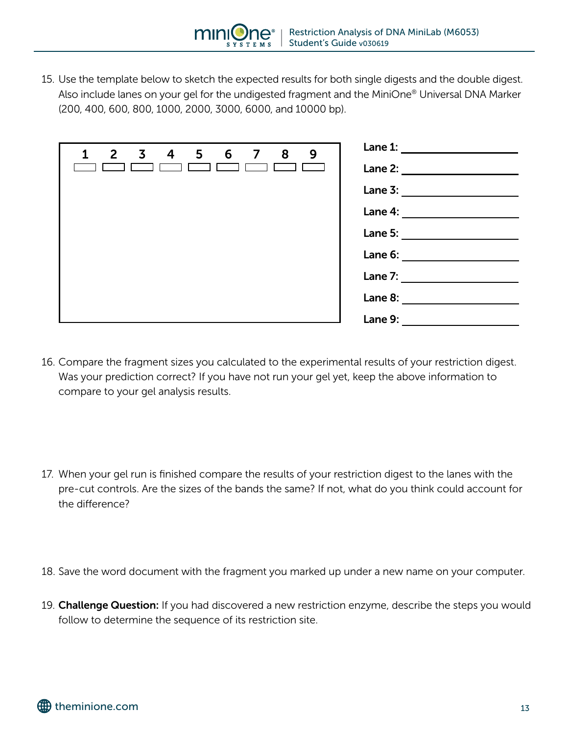15. Use the template below to sketch the expected results for both single digests and the double digest. Also include lanes on your gel for the undigested fragment and the MiniOne® Universal DNA Marker (200, 400, 600, 800, 1000, 2000, 3000, 6000, and 10000 bp).

| 1<br>$2 \overline{3}$<br>5 6<br>9<br>$\overline{4}$<br>8<br>$\overline{7}$ | Lane 1:   |
|----------------------------------------------------------------------------|-----------|
|                                                                            | Lane 2:   |
|                                                                            | Lane 3:   |
|                                                                            | Lane 4:   |
|                                                                            | Lane 5:   |
|                                                                            | Lane $6:$ |
|                                                                            | Lane 7:   |
|                                                                            | Lane $8:$ |
|                                                                            |           |
|                                                                            | Lane 9:   |

- 16. Compare the fragment sizes you calculated to the experimental results of your restriction digest. Was your prediction correct? If you have not run your gel yet, keep the above information to compare to your gel analysis results.
- 17. When your gel run is finished compare the results of your restriction digest to the lanes with the pre-cut controls. Are the sizes of the bands the same? If not, what do you think could account for the difference?
- 18. Save the word document with the fragment you marked up under a new name on your computer.
- theminione.com (858) 684-3190 info@theminione.com 19. Challenge Question: If you had discovered a new restriction enzyme, describe the steps you would follow to determine the sequence of its restriction site.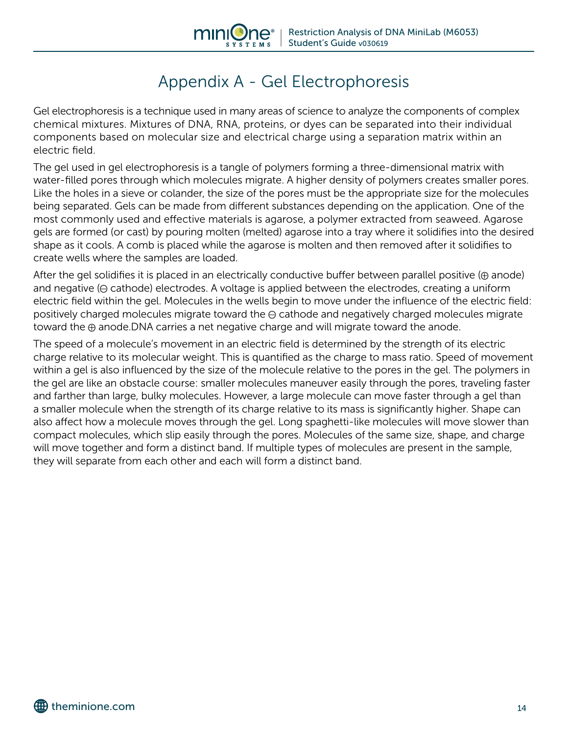# Appendix A - Gel Electrophoresis

**SVSTEMS** 

Gel electrophoresis is a technique used in many areas of science to analyze the components of complex chemical mixtures. Mixtures of DNA, RNA, proteins, or dyes can be separated into their individual components based on molecular size and electrical charge using a separation matrix within an electric field.

The gel used in gel electrophoresis is a tangle of polymers forming a three-dimensional matrix with water-filled pores through which molecules migrate. A higher density of polymers creates smaller pores. Like the holes in a sieve or colander, the size of the pores must be the appropriate size for the molecules being separated. Gels can be made from different substances depending on the application. One of the most commonly used and effective materials is agarose, a polymer extracted from seaweed. Agarose gels are formed (or cast) by pouring molten (melted) agarose into a tray where it solidifies into the desired shape as it cools. A comb is placed while the agarose is molten and then removed after it solidifies to create wells where the samples are loaded.

After the gel solidifies it is placed in an electrically conductive buffer between parallel positive  $(\oplus$  anode) and negative  $(\ominus$  cathode) electrodes. A voltage is applied between the electrodes, creating a uniform electric field within the gel. Molecules in the wells begin to move under the influence of the electric field: positively charged molecules migrate toward the  $\ominus$  cathode and negatively charged molecules migrate toward the  $\oplus$  anode.DNA carries a net negative charge and will migrate toward the anode.

The speed of a molecule's movement in an electric field is determined by the strength of its electric charge relative to its molecular weight. This is quantified as the charge to mass ratio. Speed of movement within a gel is also influenced by the size of the molecule relative to the pores in the gel. The polymers in the gel are like an obstacle course: smaller molecules maneuver easily through the pores, traveling faster and farther than large, bulky molecules. However, a large molecule can move faster through a gel than a smaller molecule when the strength of its charge relative to its mass is significantly higher. Shape can also affect how a molecule moves through the gel. Long spaghetti-like molecules will move slower than compact molecules, which slip easily through the pores. Molecules of the same size, shape, and charge will move together and form a distinct band. If multiple types of molecules are present in the sample, they will separate from each other and each will form a distinct band.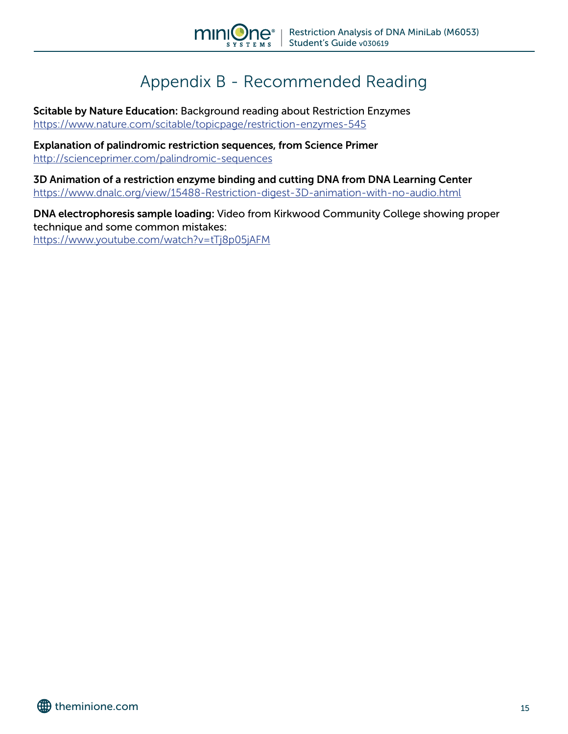

# Appendix B - Recommended Reading

Scitable by Nature Education: Background reading about Restriction Enzymes https://www.nature.com/scitable/topicpage/restriction-enzymes-545

Explanation of palindromic restriction sequences, from Science Primer http://scienceprimer.com/palindromic-sequences

3D Animation of a restriction enzyme binding and cutting DNA from DNA Learning Center https://www.dnalc.org/view/15488-Restriction-digest-3D-animation-with-no-audio.html

DNA electrophoresis sample loading: Video from Kirkwood Community College showing proper technique and some common mistakes: https://www.youtube.com/watch?v=tTj8p05jAFM